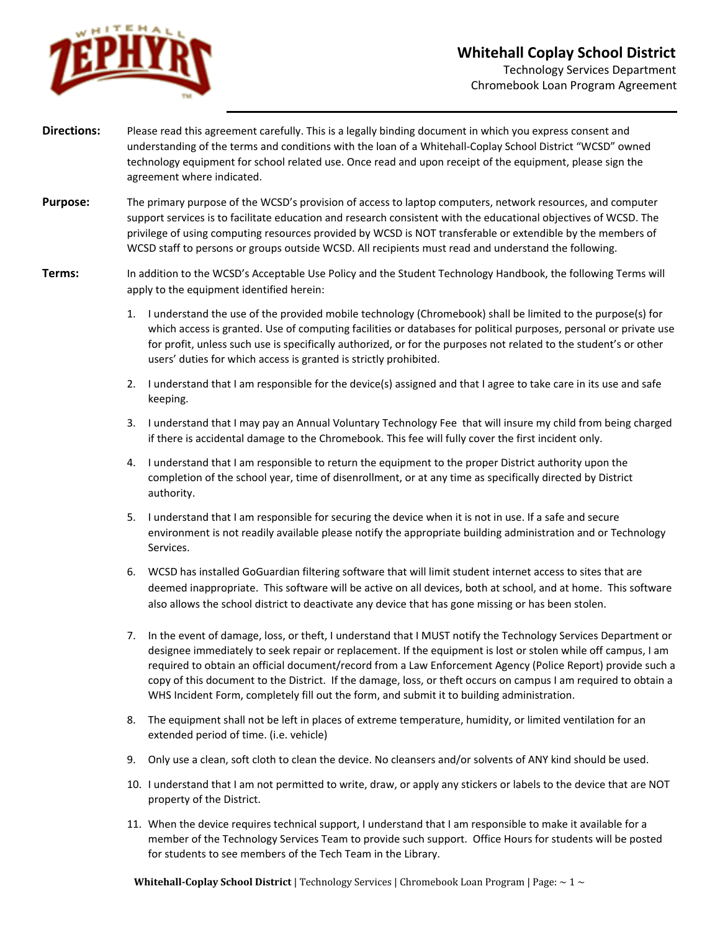

- **Directions:** Please read this agreement carefully. This is a legally binding document in which you express consent and understanding of the terms and conditions with the loan of a Whitehall-Coplay School District "WCSD" owned technology equipment for school related use. Once read and upon receipt of the equipment, please sign the agreement where indicated.
- **Purpose:** The primary purpose of the WCSD's provision of access to laptop computers, network resources, and computer support services is to facilitate education and research consistent with the educational objectives of WCSD. The privilege of using computing resources provided by WCSD is NOT transferable or extendible by the members of WCSD staff to persons or groups outside WCSD. All recipients must read and understand the following.
- **Terms:** In addition to the WCSD's Acceptable Use Policy and the Student Technology Handbook, the following Terms will apply to the equipment identified herein:
	- 1. I understand the use of the provided mobile technology (Chromebook) shall be limited to the purpose(s) for which access is granted. Use of computing facilities or databases for political purposes, personal or private use for profit, unless such use is specifically authorized, or for the purposes not related to the student's or other users' duties for which access is granted is strictly prohibited.
	- 2. I understand that I am responsible for the device(s) assigned and that I agree to take care in its use and safe keeping.
	- 3. I understand that I may pay an Annual Voluntary Technology Fee that will insure my child from being charged if there is accidental damage to the Chromebook. This fee will fully cover the first incident only.
	- 4. I understand that I am responsible to return the equipment to the proper District authority upon the completion of the school year, time of disenrollment, or at any time as specifically directed by District authority.
	- 5. I understand that I am responsible for securing the device when it is not in use. If a safe and secure environment is not readily available please notify the appropriate building administration and or Technology Services.
	- 6. WCSD has installed GoGuardian filtering software that will limit student internet access to sites that are deemed inappropriate. This software will be active on all devices, both at school, and at home. This software also allows the school district to deactivate any device that has gone missing or has been stolen.
	- 7. In the event of damage, loss, or theft, I understand that I MUST notify the Technology Services Department or designee immediately to seek repair or replacement. If the equipment is lost or stolen while off campus, I am required to obtain an official document/record from a Law Enforcement Agency (Police Report) provide such a copy of this document to the District. If the damage, loss, or theft occurs on campus I am required to obtain a WHS Incident Form, completely fill out the form, and submit it to building administration.
	- 8. The equipment shall not be left in places of extreme temperature, humidity, or limited ventilation for an extended period of time. (i.e. vehicle)
	- 9. Only use a clean, soft cloth to clean the device. No cleansers and/or solvents of ANY kind should be used.
	- 10. I understand that I am not permitted to write, draw, or apply any stickers or labels to the device that are NOT property of the District.
	- 11. When the device requires technical support, I understand that I am responsible to make it available for a member of the Technology Services Team to provide such support. Office Hours for students will be posted for students to see members of the Tech Team in the Library.

**Whitehall-Coplay School District** | Technology Services | Chromebook Loan Program | Page: ~ 1 ~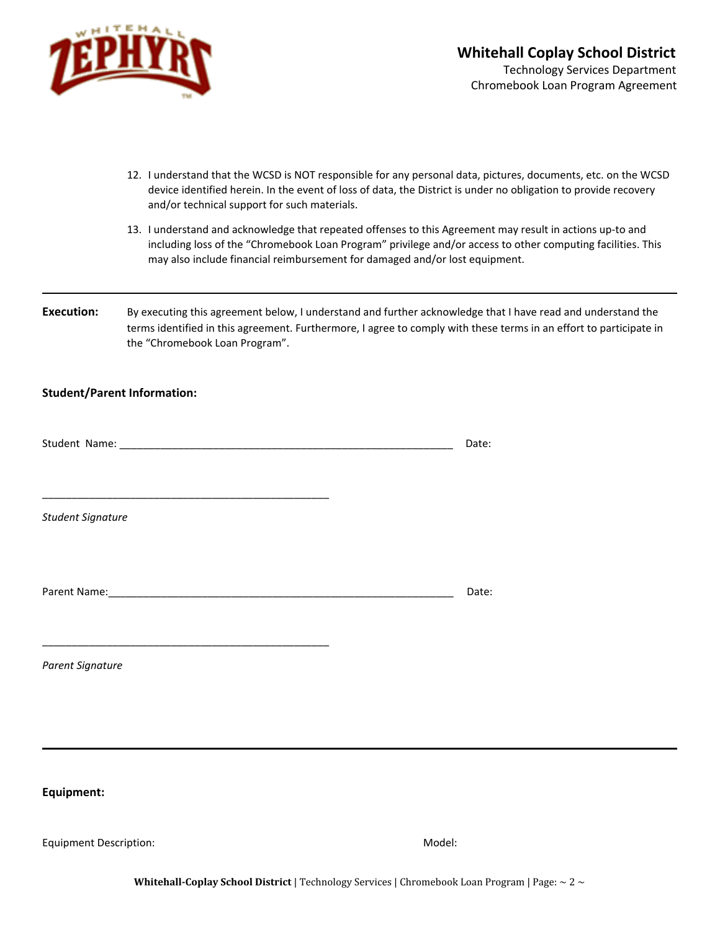

- 12. I understand that the WCSD is NOT responsible for any personal data, pictures, documents, etc. on the WCSD device identified herein. In the event of loss of data, the District is under no obligation to provide recovery and/or technical support for such materials.
- 13. I understand and acknowledge that repeated offenses to this Agreement may result in actions up-to and including loss of the "Chromebook Loan Program" privilege and/or access to other computing facilities. This may also include financial reimbursement for damaged and/or lost equipment.
- **Execution:** By executing this agreement below, I understand and further acknowledge that I have read and understand the terms identified in this agreement. Furthermore, I agree to comply with these terms in an effort to participate in the "Chromebook Loan Program".

## **Student/Parent Information:**

|                          | Date: |  |
|--------------------------|-------|--|
|                          |       |  |
|                          |       |  |
|                          |       |  |
| <b>Student Signature</b> |       |  |
|                          |       |  |
|                          |       |  |
|                          |       |  |
|                          | Date: |  |
|                          |       |  |
|                          |       |  |
| Parent Signature         |       |  |
|                          |       |  |
|                          |       |  |
|                          |       |  |
|                          |       |  |
|                          |       |  |
|                          |       |  |

**Equipment:**

Equipment Description: Notel: Notel: Notel: Notel: Notel: Notel: Notel: Notel: Notel: Notel: Notel: Notel: Notel: Notel: Notel: Notel: Notel: Notel: Notel: Notel: Notel: Notel: Notel: Notel: Notel: Notel: Notel: Notel: Not